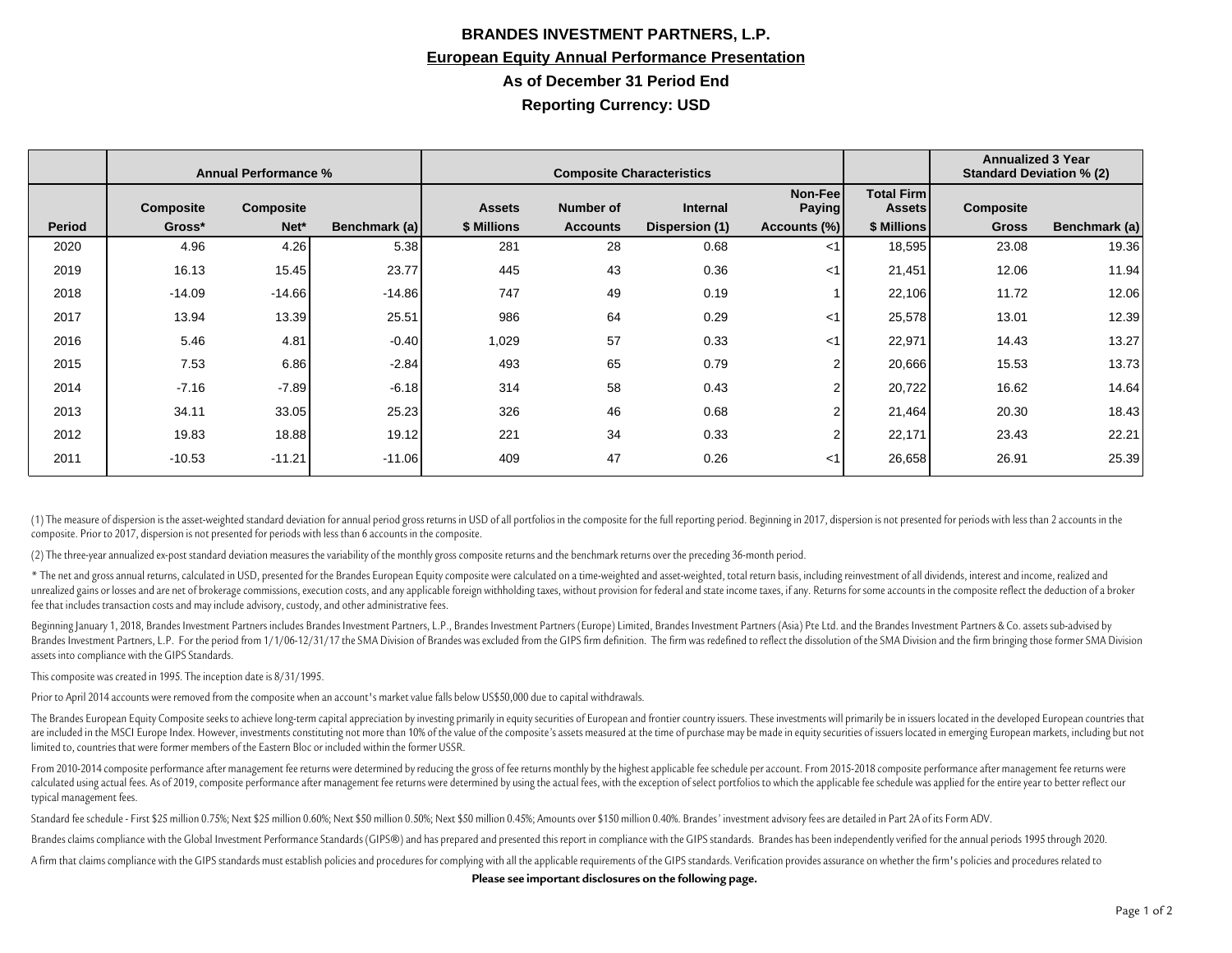## **BRANDES INVESTMENT PARTNERS, L.P. European Equity Annual Performance Presentation As of December 31 Period End Reporting Currency: USD**

|               | <b>Annual Performance %</b> |           |               | <b>Composite Characteristics</b> |                  |                 |                          |                                    | <b>Annualized 3 Year</b><br><b>Standard Deviation % (2)</b> |               |
|---------------|-----------------------------|-----------|---------------|----------------------------------|------------------|-----------------|--------------------------|------------------------------------|-------------------------------------------------------------|---------------|
|               | <b>Composite</b>            | Composite |               | <b>Assets</b>                    | <b>Number of</b> | <b>Internal</b> | Non-Fee<br><b>Paying</b> | <b>Total Firm</b><br><b>Assets</b> | Composite                                                   |               |
| <b>Period</b> | Gross*                      | Net*      | Benchmark (a) | \$ Millions                      | <b>Accounts</b>  | Dispersion (1)  | Accounts (%)             | \$ Millions                        | <b>Gross</b>                                                | Benchmark (a) |
| 2020          | 4.96                        | 4.26      | 5.38          | 281                              | 28               | 0.68            | $<$ 1                    | 18,595                             | 23.08                                                       | 19.36         |
| 2019          | 16.13                       | 15.45     | 23.77         | 445                              | 43               | 0.36            | $<$ 1                    | 21,451                             | 12.06                                                       | 11.94         |
| 2018          | $-14.09$                    | $-14.66$  | $-14.86$      | 747                              | 49               | 0.19            |                          | 22,106                             | 11.72                                                       | 12.06         |
| 2017          | 13.94                       | 13.39     | 25.51         | 986                              | 64               | 0.29            | $<$ 1                    | 25,578                             | 13.01                                                       | 12.39         |
| 2016          | 5.46                        | 4.81      | $-0.40$       | 1,029                            | 57               | 0.33            | $<$ 1                    | 22,971                             | 14.43                                                       | 13.27         |
| 2015          | 7.53                        | 6.86      | $-2.84$       | 493                              | 65               | 0.79            | $\overline{2}$           | 20,666                             | 15.53                                                       | 13.73         |
| 2014          | $-7.16$                     | $-7.89$   | $-6.18$       | 314                              | 58               | 0.43            | $\overline{2}$           | 20,722                             | 16.62                                                       | 14.64         |
| 2013          | 34.11                       | 33.05     | 25.23         | 326                              | 46               | 0.68            | $\overline{2}$           | 21,464                             | 20.30                                                       | 18.43         |
| 2012          | 19.83                       | 18.88     | 19.12         | 221                              | 34               | 0.33            | $\overline{2}$           | 22,171                             | 23.43                                                       | 22.21         |
| 2011          | $-10.53$                    | $-11.21$  | $-11.06$      | 409                              | 47               | 0.26            | $<$ 1                    | 26,658                             | 26.91                                                       | 25.39         |

(1) The measure of dispersion is the asset-weighted standard deviation for annual period gross returns in USD of all portfolios in the composite for the full reporting period. Beginning in 2017, dispersion is not presented composite. Prior to 2017, dispersion is not presented for periods with less than 6 accounts in the composite.

(2) The three-year annualized ex-post standard deviation measures the variability of the monthly gross composite returns and the benchmark returns over the preceding 36-month period.

\* The net and gross annual returns, calculated in USD, presented for the Brandes European Equity composite were calculated on a time-weighted and asset-weighted, total return basis, including reinvestment of all dividends, unrealized gains or losses and are net of brokerage commissions, execution costs, and any applicable foreign withholding taxes, without provision for federal and state income taxes, if any. Returns for some accounts in the fee that includes transaction costs and may include advisory, custody, and other administrative fees.

Beginning January 1, 2018, Brandes Investment Partners includes Brandes Investment Partners, L.P., Brandes Investment Partners (Europe) Limited, Brandes Investment Partners (Asia) Pte Ltd. and the Brandes Investment Partne Brandes Investment Partners, L.P. For the period from 1/1/06-12/31/17 the SMA Division of Brandes was excluded from the GIPS firm definition. The firm was redefined to reflect the dissolution of the SMA Division and the fi assets into compliance with the GIPS Standards.

This composite was created in 1995. The inception date is 8/31/1995.

Prior to April 2014 accounts were removed from the composite when an account's market value falls below US\$50,000 due to capital withdrawals.

The Brandes European Equity Composite seeks to achieve long-term capital appreciation by investing primarily in equity securities of European and frontier country issuers. These investments will primarily be in issuers loc are included in the MSCI Europe Index. However, investments constituting not more than 10% of the value of the composite's assets measured at the time of purchase may be made in equity securities of issuers located in emer limited to, countries that were former members of the Eastern Bloc or included within the former USSR.

From 2010-2014 composite performance after management fee returns were determined by reducing the gross of fee returns monthly by the highest applicable fee schedule per account. From 2015-2018 composite performance after calculated using actual fees. As of 2019, composite performance after management fee returns were determined by using the actual fees, with the exception of select portfolios to which the applicable fee schedule was applie typical management fees.

Standard fee schedule - First \$25 million 0.75%; Next \$25 million 0.60%; Next \$50 million 0.60%; Next \$50 million 0.45%; Next \$50 million 0.45%; Next \$50 million 0.45%; Amounts over \$150 million 0.40%. Brandes' investment

Brandes claims compliance with the Global Investment Performance Standards (GIPS®) and has prepared and presented this report in compliance with the GIPS standards. Brandes has been independently verified for the annual pe

A firm that claims compliance with the GIPS standards must establish policies and procedures for complying with all the applicable requirements of the GIPS standards. Verification provides assurance on whether the firm's p

**Please see important disclosures on the following page.**